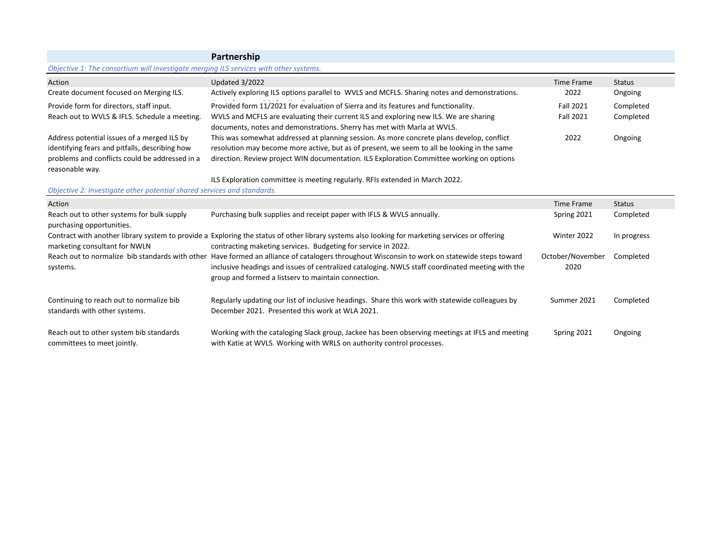|                                                                                                                                                                    | Partnership                                                                                                                                                                                                                                                                                             |                          |               |
|--------------------------------------------------------------------------------------------------------------------------------------------------------------------|---------------------------------------------------------------------------------------------------------------------------------------------------------------------------------------------------------------------------------------------------------------------------------------------------------|--------------------------|---------------|
| Objective 1: The consortium will investigate merging ILS services with other systems.                                                                              |                                                                                                                                                                                                                                                                                                         |                          |               |
| Action                                                                                                                                                             | Updated 3/2022                                                                                                                                                                                                                                                                                          | Time Frame               | <b>Status</b> |
| Create document focused on Merging ILS.                                                                                                                            | Actively exploring ILS options parallel to WVLS and MCFLS. Sharing notes and demonstrations.                                                                                                                                                                                                            | 2022                     | Ongoing       |
| Provide form for directors, staff input.                                                                                                                           | Provided form 11/2021 for evaluation of Sierra and its features and functionality.                                                                                                                                                                                                                      | <b>Fall 2021</b>         | Completed     |
| Reach out to WVLS & IFLS. Schedule a meeting.                                                                                                                      | WVLS and MCFLS are evaluating their current ILS and exploring new ILS. We are sharing<br>documents, notes and demonstrations. Sherry has met with Marla at WVLS.                                                                                                                                        | Fall 2021                | Completed     |
| Address potential issues of a merged ILS by<br>identifying fears and pitfalls, describing how<br>problems and conflicts could be addressed in a<br>reasonable way. | This was somewhat addressed at planning session. As more concrete plans develop, conflict<br>resolution may become more active, but as of present, we seem to all be looking in the same<br>direction. Review project WIN documentation. ILS Exploration Committee working on options                   | 2022                     | Ongoing       |
|                                                                                                                                                                    | ILS Exploration committee is meeting regularly. RFIs extended in March 2022.                                                                                                                                                                                                                            |                          |               |
| Objective 2: Investigate other potential shared services and standards.                                                                                            |                                                                                                                                                                                                                                                                                                         |                          |               |
| Action                                                                                                                                                             |                                                                                                                                                                                                                                                                                                         | <b>Time Frame</b>        | <b>Status</b> |
| Reach out to other systems for bulk supply<br>purchasing opportunities.                                                                                            | Purchasing bulk supplies and receipt paper with IFLS & WVLS annually.                                                                                                                                                                                                                                   | Spring 2021              | Completed     |
| marketing consultant for NWLN                                                                                                                                      | Contract with another library system to provide a Exploring the status of other library systems also looking for marketing services or offering<br>contracting maketing services. Budgeting for service in 2022.                                                                                        | Winter 2022              | In progress   |
| systems.                                                                                                                                                           | Reach out to normalize bib standards with other Have formed an alliance of catalogers throughout Wisconsin to work on statewide steps toward<br>inclusive headings and issues of centralized cataloging. NWLS staff coordinated meeting with the<br>group and formed a listsery to maintain connection. | October/November<br>2020 | Completed     |
| Continuing to reach out to normalize bib<br>standards with other systems.                                                                                          | Regularly updating our list of inclusive headings. Share this work with statewide colleagues by<br>December 2021. Presented this work at WLA 2021.                                                                                                                                                      | Summer 2021              | Completed     |
| Reach out to other system bib standards<br>committees to meet jointly.                                                                                             | Working with the cataloging Slack group, Jackee has been observing meetings at IFLS and meeting<br>with Katie at WVLS. Working with WRLS on authority control processes.                                                                                                                                | Spring 2021              | Ongoing       |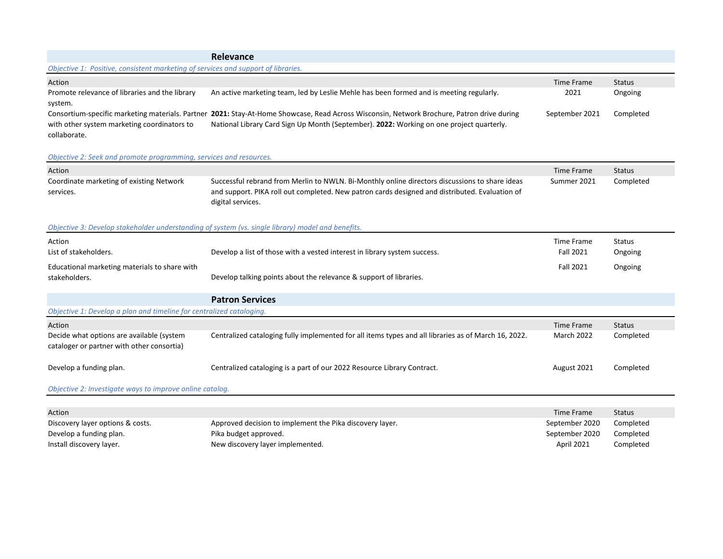|                                                                                   | Relevance                                                                                                                                                                                                                              |                |               |
|-----------------------------------------------------------------------------------|----------------------------------------------------------------------------------------------------------------------------------------------------------------------------------------------------------------------------------------|----------------|---------------|
| Objective 1: Positive, consistent marketing of services and support of libraries. |                                                                                                                                                                                                                                        |                |               |
| Action                                                                            |                                                                                                                                                                                                                                        | Time Frame     | <b>Status</b> |
| Promote relevance of libraries and the library<br>system.                         | An active marketing team, led by Leslie Mehle has been formed and is meeting regularly.                                                                                                                                                | 2021           | Ongoing       |
| with other system marketing coordinators to<br>collaborate.                       | Consortium-specific marketing materials. Partner 2021: Stay-At-Home Showcase, Read Across Wisconsin, Network Brochure, Patron drive during<br>National Library Card Sign Up Month (September). 2022: Working on one project quarterly. | September 2021 | Completed     |

# *Objective 2: Seek and promote programming, services and resources.*

| Action                                                                                  |                                                                                                                                                                                                                                                                                                                            | <b>Time Frame</b> | <b>Status</b> |
|-----------------------------------------------------------------------------------------|----------------------------------------------------------------------------------------------------------------------------------------------------------------------------------------------------------------------------------------------------------------------------------------------------------------------------|-------------------|---------------|
| Coordinate marketing of existing Network<br>services.                                   | Successful rebrand from Merlin to NWLN. Bi-Monthly online directors discussions to share ideas<br>and support. PIKA roll out completed. New patron cards designed and distributed. Evaluation of<br>digital services.<br>Objective 3: Develop stakeholder understanding of system (vs. single library) model and benefits. | Summer 2021       | Completed     |
| Action                                                                                  |                                                                                                                                                                                                                                                                                                                            | Time Frame        | <b>Status</b> |
| List of stakeholders.                                                                   | Develop a list of those with a vested interest in library system success.                                                                                                                                                                                                                                                  | Fall 2021         | Ongoing       |
| Educational marketing materials to share with                                           |                                                                                                                                                                                                                                                                                                                            | <b>Fall 2021</b>  | Ongoing       |
| stakeholders.                                                                           | Develop talking points about the relevance & support of libraries.                                                                                                                                                                                                                                                         |                   |               |
|                                                                                         | <b>Patron Services</b>                                                                                                                                                                                                                                                                                                     |                   |               |
| Objective 1: Develop a plan and timeline for centralized cataloging.                    |                                                                                                                                                                                                                                                                                                                            |                   |               |
| Action                                                                                  |                                                                                                                                                                                                                                                                                                                            | Time Frame        | <b>Status</b> |
| Decide what options are available (system<br>cataloger or partner with other consortia) | Centralized cataloging fully implemented for all items types and all libraries as of March 16, 2022.                                                                                                                                                                                                                       | <b>March 2022</b> | Completed     |
| Develop a funding plan.                                                                 | Centralized cataloging is a part of our 2022 Resource Library Contract.                                                                                                                                                                                                                                                    | August 2021       | Completed     |
| Objective 2: Investigate ways to improve online catalog.                                |                                                                                                                                                                                                                                                                                                                            |                   |               |
|                                                                                         |                                                                                                                                                                                                                                                                                                                            |                   |               |
| Action                                                                                  |                                                                                                                                                                                                                                                                                                                            | Time Frame        | <b>Status</b> |
|                                                                                         |                                                                                                                                                                                                                                                                                                                            |                   |               |

| Discovery layer options & costs. | Approved decision to implement the Pika discovery layer. | September 2020 | Completed |
|----------------------------------|----------------------------------------------------------|----------------|-----------|
| Develop a funding plan.          | Pika budget approved.                                    | September 2020 | Completed |
| Install discovery layer.         | New discovery layer implemented.                         | April 2021     | Completed |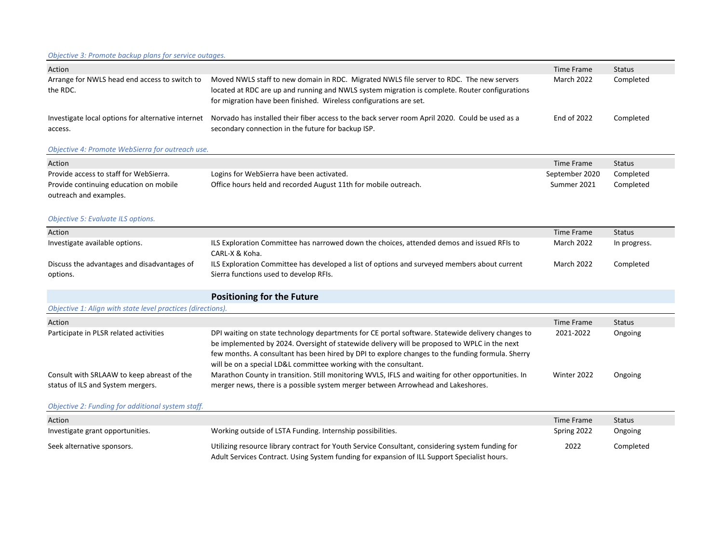## *Objective 3: Promote backup plans for service outages.*

| Action                                                        |                                                                                                                                                                                                                                                                  | Time Frame  | <b>Status</b> |
|---------------------------------------------------------------|------------------------------------------------------------------------------------------------------------------------------------------------------------------------------------------------------------------------------------------------------------------|-------------|---------------|
| Arrange for NWLS head end access to switch to<br>the RDC.     | Moved NWLS staff to new domain in RDC. Migrated NWLS file server to RDC. The new servers<br>located at RDC are up and running and NWLS system migration is complete. Router configurations<br>for migration have been finished. Wireless configurations are set. | March 2022  | Completed     |
| Investigate local options for alternative internet<br>access. | Norvado has installed their fiber access to the back server room April 2020. Could be used as a<br>secondary connection in the future for backup ISP.                                                                                                            | End of 2022 | Completed     |

## *Objective 4: Promote WebSierra for outreach use.*

| Action                                 |                                                                 | Time Frame     | Status    |
|----------------------------------------|-----------------------------------------------------------------|----------------|-----------|
| Provide access to staff for WebSierra. | Logins for WebSierra have been activated.                       | September 2020 | Completed |
| Provide continuing education on mobile | Office hours held and recorded August 11th for mobile outreach. | Summer 2021    | Completed |
| outreach and examples.                 |                                                                 |                |           |

# *Objective 5: Evaluate ILS options.*

| Action                                      |                                                                                              | Time Frame        | Status       |
|---------------------------------------------|----------------------------------------------------------------------------------------------|-------------------|--------------|
| Investigate available options.              | ILS Exploration Committee has narrowed down the choices, attended demos and issued RFIs to   | <b>March 2022</b> | In progress. |
|                                             | CARL-X & Koha.                                                                               |                   |              |
| Discuss the advantages and disadvantages of | ILS Exploration Committee has developed a list of options and surveyed members about current | March 2022        | Completed    |
| options.                                    | Sierra functions used to develop RFIs.                                                       |                   |              |

# **Positioning for the Future**

#### *Objective 1: Align with state level practices (directions).*

| Action                                                                          |                                                                                                                                                                                                                                                                                                       | Time Frame  | <b>Status</b> |
|---------------------------------------------------------------------------------|-------------------------------------------------------------------------------------------------------------------------------------------------------------------------------------------------------------------------------------------------------------------------------------------------------|-------------|---------------|
| Participate in PLSR related activities                                          | DPI waiting on state technology departments for CE portal software. Statewide delivery changes to<br>be implemented by 2024. Oversight of statewide delivery will be proposed to WPLC in the next<br>few months. A consultant has been hired by DPI to explore changes to the funding formula. Sherry | 2021-2022   | Ongoing       |
| Consult with SRLAAW to keep abreast of the<br>status of ILS and System mergers. | will be on a special LD&L committee working with the consultant.<br>Marathon County in transition. Still monitoring WVLS, IFLS and waiting for other opportunities. In<br>merger news, there is a possible system merger between Arrowhead and Lakeshores.                                            | Winter 2022 | Ongoing       |

## *Objective 2: Funding for additional system staff.*

| Action                           |                                                                                                                                                                                                  | Time Frame  | <b>Status</b> |
|----------------------------------|--------------------------------------------------------------------------------------------------------------------------------------------------------------------------------------------------|-------------|---------------|
| Investigate grant opportunities. | Working outside of LSTA Funding. Internship possibilities.                                                                                                                                       | Spring 2022 | Ongoing       |
| Seek alternative sponsors.       | Utilizing resource library contract for Youth Service Consultant, considering system funding for<br>Adult Services Contract. Using System funding for expansion of ILL Support Specialist hours. | 2022        | Completed     |